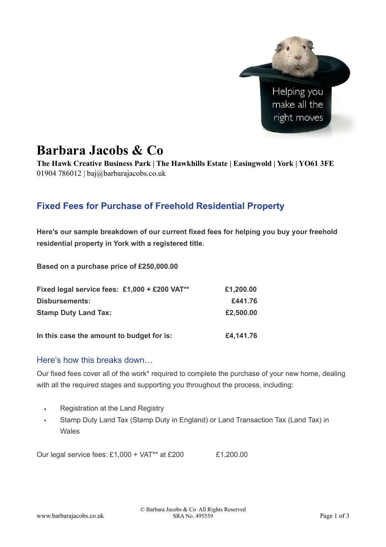

# **Barbara Jacobs & Co**

**The Hawk Creative Business Park | The Hawkhills Estate | Easingwold | York | YO61 3FE**  01904 786012 | baj@barbarajacobs.co.uk

## **Fixed Fees for Purchase of Freehold Residential Property**

**Here's our sample breakdown of our current fixed fees for helping you buy your freehold residential property in York with a registered title.**

**Based on a purchase price of £250,000.00** 

| Fixed legal service fees: £1,000 + £200 VAT** | £1,200.00 |
|-----------------------------------------------|-----------|
| <b>Disbursements:</b>                         | £441.76   |
| <b>Stamp Duty Land Tax:</b>                   | £2,500.00 |
| In this case the amount to budget for is:     | £4,141.76 |

#### Here's how this breaks down…

Our fixed fees cover all of the work\* required to complete the purchase of your new home, dealing with all the required stages and supporting you throughout the process, including:

- Registration at the Land Registry
- Stamp Duty Land Tax (Stamp Duty in England) or Land Transaction Tax (Land Tax) in Wales

Our legal service fees:  $£1,000 + VAT^{**}$  at  $£200$   $£1,200.00$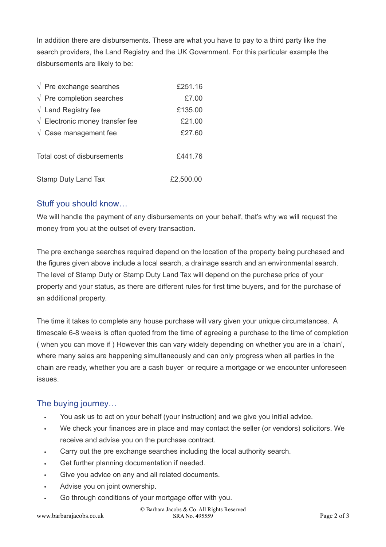In addition there are disbursements. These are what you have to pay to a third party like the search providers, the Land Registry and the UK Government. For this particular example the disbursements are likely to be:

| $\sqrt{ }$ Pre exchange searches         | £251.16   |
|------------------------------------------|-----------|
| $\sqrt{ }$ Pre completion searches       | £7.00     |
| $\sqrt{}$ Land Registry fee              | £135.00   |
| $\sqrt{ }$ Electronic money transfer fee | £21.00    |
| $\sqrt{}$ Case management fee            | £27.60    |
| Total cost of disbursements              | £441.76   |
| Stamp Duty Land Tax                      | £2,500.00 |

### Stuff you should know…

We will handle the payment of any disbursements on your behalf, that's why we will request the money from you at the outset of every transaction.

The pre exchange searches required depend on the location of the property being purchased and the figures given above include a local search, a drainage search and an environmental search. The level of Stamp Duty or Stamp Duty Land Tax will depend on the purchase price of your property and your status, as there are different rules for first time buyers, and for the purchase of an additional property.

The time it takes to complete any house purchase will vary given your unique circumstances. A timescale 6-8 weeks is often quoted from the time of agreeing a purchase to the time of completion ( when you can move if ) However this can vary widely depending on whether you are in a 'chain', where many sales are happening simultaneously and can only progress when all parties in the chain are ready, whether you are a cash buyer or require a mortgage or we encounter unforeseen issues.

### The buving journey...

- You ask us to act on your behalf (your instruction) and we give you initial advice.
- We check your finances are in place and may contact the seller (or vendors) solicitors. We receive and advise you on the purchase contract.
- Carry out the pre exchange searches including the local authority search.
- Get further planning documentation if needed.
- Give you advice on any and all related documents.
- Advise you on joint ownership.
- Go through conditions of your mortgage offer with you.